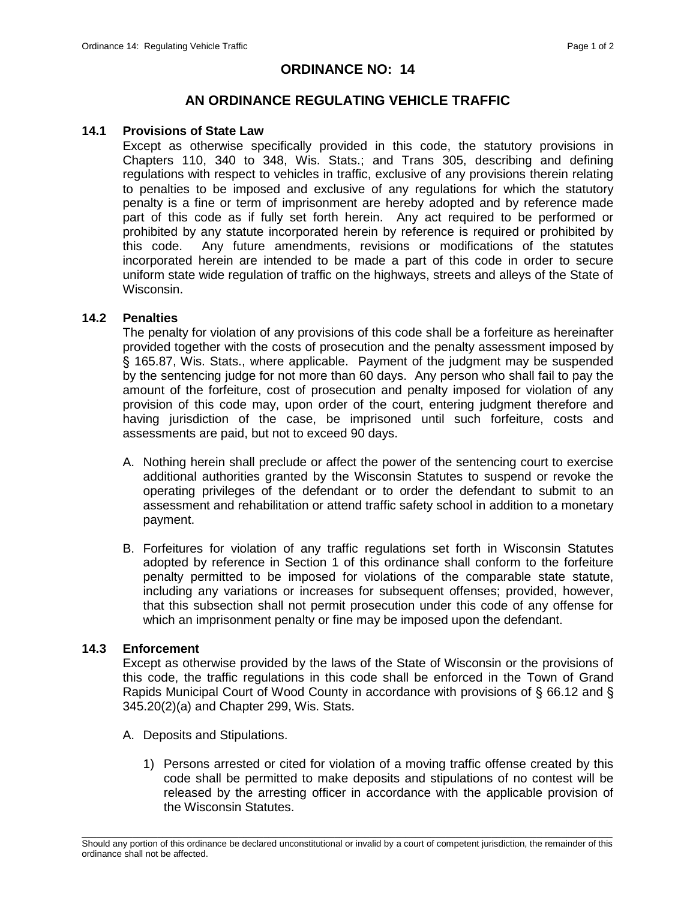# **ORDINANCE NO: 14**

## **AN ORDINANCE REGULATING VEHICLE TRAFFIC**

### **14.1 Provisions of State Law**

Except as otherwise specifically provided in this code, the statutory provisions in Chapters 110, 340 to 348, Wis. Stats.; and Trans 305, describing and defining regulations with respect to vehicles in traffic, exclusive of any provisions therein relating to penalties to be imposed and exclusive of any regulations for which the statutory penalty is a fine or term of imprisonment are hereby adopted and by reference made part of this code as if fully set forth herein. Any act required to be performed or prohibited by any statute incorporated herein by reference is required or prohibited by this code. Any future amendments, revisions or modifications of the statutes incorporated herein are intended to be made a part of this code in order to secure uniform state wide regulation of traffic on the highways, streets and alleys of the State of Wisconsin.

### **14.2 Penalties**

The penalty for violation of any provisions of this code shall be a forfeiture as hereinafter provided together with the costs of prosecution and the penalty assessment imposed by § 165.87, Wis. Stats., where applicable. Payment of the judgment may be suspended by the sentencing judge for not more than 60 days. Any person who shall fail to pay the amount of the forfeiture, cost of prosecution and penalty imposed for violation of any provision of this code may, upon order of the court, entering judgment therefore and having jurisdiction of the case, be imprisoned until such forfeiture, costs and assessments are paid, but not to exceed 90 days.

- A. Nothing herein shall preclude or affect the power of the sentencing court to exercise additional authorities granted by the Wisconsin Statutes to suspend or revoke the operating privileges of the defendant or to order the defendant to submit to an assessment and rehabilitation or attend traffic safety school in addition to a monetary payment.
- B. Forfeitures for violation of any traffic regulations set forth in Wisconsin Statutes adopted by reference in Section 1 of this ordinance shall conform to the forfeiture penalty permitted to be imposed for violations of the comparable state statute, including any variations or increases for subsequent offenses; provided, however, that this subsection shall not permit prosecution under this code of any offense for which an imprisonment penalty or fine may be imposed upon the defendant.

#### **14.3 Enforcement**

Except as otherwise provided by the laws of the State of Wisconsin or the provisions of this code, the traffic regulations in this code shall be enforced in the Town of Grand Rapids Municipal Court of Wood County in accordance with provisions of § 66.12 and § 345.20(2)(a) and Chapter 299, Wis. Stats.

- A. Deposits and Stipulations.
	- 1) Persons arrested or cited for violation of a moving traffic offense created by this code shall be permitted to make deposits and stipulations of no contest will be released by the arresting officer in accordance with the applicable provision of the Wisconsin Statutes.